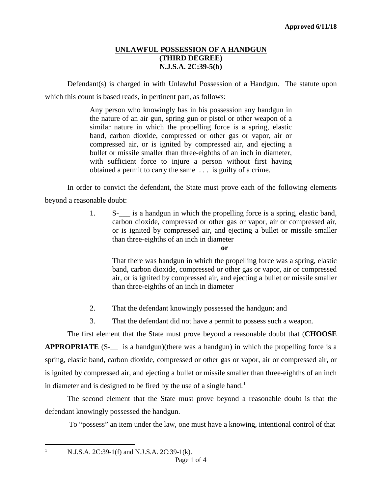### **UNLAWFUL POSSESSION OF A HANDGUN (THIRD DEGREE) N.J.S.A. 2C:39-5(b)**

Defendant(s) is charged in with Unlawful Possession of a Handgun. The statute upon which this count is based reads, in pertinent part, as follows:

> Any person who knowingly has in his possession any handgun in the nature of an air gun, spring gun or pistol or other weapon of a similar nature in which the propelling force is a spring, elastic band, carbon dioxide, compressed or other gas or vapor, air or compressed air, or is ignited by compressed air, and ejecting a bullet or missile smaller than three-eighths of an inch in diameter, with sufficient force to injure a person without first having obtained a permit to carry the same . . . is guilty of a crime.

In order to convict the defendant, the State must prove each of the following elements beyond a reasonable doubt:

> 1. S-\_\_\_ is a handgun in which the propelling force is a spring, elastic band, carbon dioxide, compressed or other gas or vapor, air or compressed air, or is ignited by compressed air, and ejecting a bullet or missile smaller than three-eighths of an inch in diameter

That there was handgun in which the propelling force was a spring, elastic band, carbon dioxide, compressed or other gas or vapor, air or compressed air, or is ignited by compressed air, and ejecting a bullet or missile smaller than three-eighths of an inch in diameter

- 2. That the defendant knowingly possessed the handgun; and
- 3. That the defendant did not have a permit to possess such a weapon.

The first element that the State must prove beyond a reasonable doubt that (**CHOOSE APPROPRIATE** (S-<sub>11</sub> is a handgun)(there was a handgun) in which the propelling force is a spring, elastic band, carbon dioxide, compressed or other gas or vapor, air or compressed air, or is ignited by compressed air, and ejecting a bullet or missile smaller than three-eighths of an inch in diameter and is designed to be fired by the use of a single hand.<sup>[1](#page-0-0)</sup>

The second element that the State must prove beyond a reasonable doubt is that the defendant knowingly possessed the handgun.

To "possess" an item under the law, one must have a knowing, intentional control of that

<span id="page-0-0"></span><sup>1</sup> N.J.S.A. 2C:39-1(f) and N.J.S.A. 2C:39-1(k).

**or**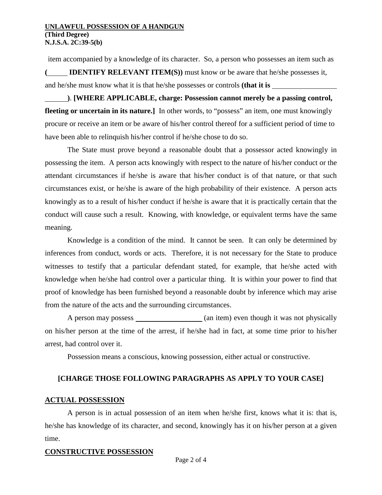#### **UNLAWFUL POSSESSION OF A HANDGUN (Third Degree) N.J.S.A. 2C:39-5(b)**

item accompanied by a knowledge of its character. So, a person who possesses an item such as **( IDENTIFY RELEVANT ITEM(S))** must know or be aware that he/she possesses it,

and he/she must know what it is that he/she possesses or controls **(that it is** 

**)**. **[WHERE APPLICABLE, charge: Possession cannot merely be a passing control,**  fleeting or uncertain in its nature.] In other words, to "possess" an item, one must knowingly procure or receive an item or be aware of his/her control thereof for a sufficient period of time to have been able to relinquish his/her control if he/she chose to do so.

The State must prove beyond a reasonable doubt that a possessor acted knowingly in possessing the item. A person acts knowingly with respect to the nature of his/her conduct or the attendant circumstances if he/she is aware that his/her conduct is of that nature, or that such circumstances exist, or he/she is aware of the high probability of their existence. A person acts knowingly as to a result of his/her conduct if he/she is aware that it is practically certain that the conduct will cause such a result. Knowing, with knowledge, or equivalent terms have the same meaning.

Knowledge is a condition of the mind. It cannot be seen. It can only be determined by inferences from conduct, words or acts. Therefore, it is not necessary for the State to produce witnesses to testify that a particular defendant stated, for example, that he/she acted with knowledge when he/she had control over a particular thing. It is within your power to find that proof of knowledge has been furnished beyond a reasonable doubt by inference which may arise from the nature of the acts and the surrounding circumstances.

A person may possess \_\_\_\_\_\_\_\_\_\_\_\_\_\_\_\_ (an item) even though it was not physically on his/her person at the time of the arrest, if he/she had in fact, at some time prior to his/her arrest, had control over it.

Possession means a conscious, knowing possession, either actual or constructive.

# **[CHARGE THOSE FOLLOWING PARAGRAPHS AS APPLY TO YOUR CASE]**

### **ACTUAL POSSESSION**

A person is in actual possession of an item when he/she first, knows what it is: that is, he/she has knowledge of its character, and second, knowingly has it on his/her person at a given time.

### **CONSTRUCTIVE POSSESSION**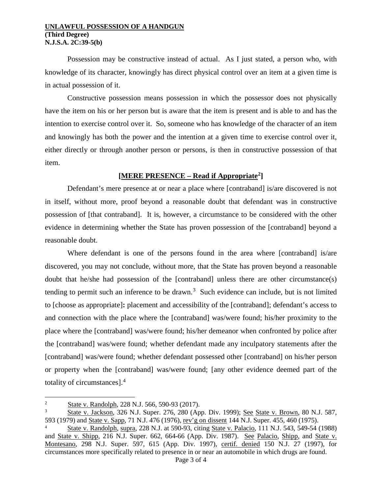#### **UNLAWFUL POSSESSION OF A HANDGUN (Third Degree) N.J.S.A. 2C:39-5(b)**

Possession may be constructive instead of actual. As I just stated, a person who, with knowledge of its character, knowingly has direct physical control over an item at a given time is in actual possession of it.

Constructive possession means possession in which the possessor does not physically have the item on his or her person but is aware that the item is present and is able to and has the intention to exercise control over it. So, someone who has knowledge of the character of an item and knowingly has both the power and the intention at a given time to exercise control over it, either directly or through another person or persons, is then in constructive possession of that item.

### **[MERE PRESENCE – Read if Appropriate[2\]](#page-2-0)**

Defendant's mere presence at or near a place where [contraband] is/are discovered is not in itself, without more, proof beyond a reasonable doubt that defendant was in constructive possession of [that contraband]. It is, however, a circumstance to be considered with the other evidence in determining whether the State has proven possession of the [contraband] beyond a reasonable doubt.

Where defendant is one of the persons found in the area where [contraband] is/are discovered, you may not conclude, without more, that the State has proven beyond a reasonable doubt that he/she had possession of the [contraband] unless there are other circumstance(s) tending to permit such an inference to be drawn. [3](#page-2-1) Such evidence can include, but is not limited to [choose as appropriate]**:** placement and accessibility of the [contraband]; defendant's access to and connection with the place where the [contraband] was/were found; his/her proximity to the place where the [contraband] was/were found; his/her demeanor when confronted by police after the [contraband] was/were found; whether defendant made any inculpatory statements after the [contraband] was/were found; whether defendant possessed other [contraband] on his/her person or property when the [contraband] was/were found; [any other evidence deemed part of the totality of circumstances].[4](#page-2-2)

<span id="page-2-0"></span> $\frac{1}{2}$  $\frac{2}{3}$  State v. Randolph, 228 N.J. 566, 590-93 (2017).

<span id="page-2-1"></span><sup>&</sup>lt;sup>3</sup> State v. Jackson, 326 N.J. Super. 276, 280 (App. Div. 1999); <u>See State v. Brown</u>, 80 N.J. 587, 593 (1979) and State v. Sapp. 71 N.J. 476 (1976), rev'g on dissent 144 N.J. Super. 455, 460 (1975).

<span id="page-2-2"></span>State v. Randolph, supra, 228 N.J. at 590-93, citing State v. Palacio, 111 N.J. 543, 549-54 (1988) and State v. Shipp, 216 N.J. Super. 662, 664-66 (App. Div. 1987). See Palacio, Shipp, and State v. Montesano, 298 N.J. Super. 597, 615 (App. Div. 1997), certif. denied 150 N.J. 27 (1997), for circumstances more specifically related to presence in or near an automobile in which drugs are found.